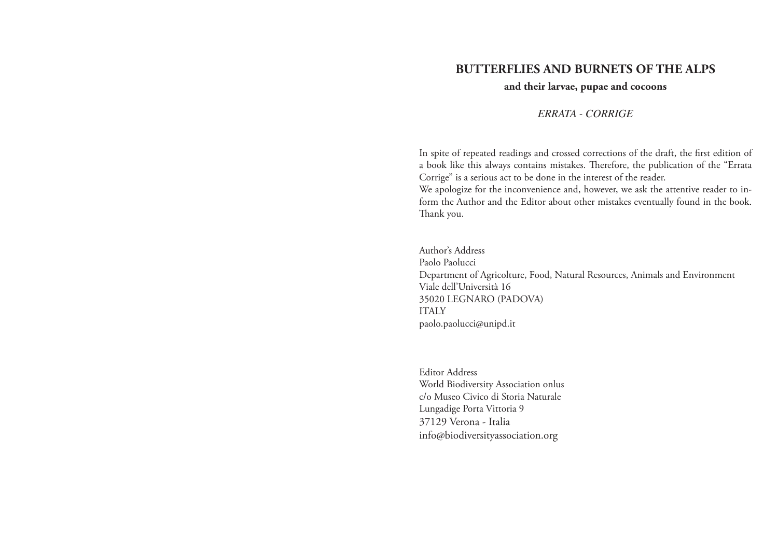# **BUTTERFLIES AND BURNETS OF THE ALPS**

### **and their larvae, pupae and cocoons**

*ERRATA - CORRIGE*

In spite of repeated readings and crossed corrections of the draft, the first edition of a book like this always contains mistakes. Therefore, the publication of the "Errata Corrige" is a serious act to be done in the interest of the reader.

We apologize for the inconvenience and, however, we ask the attentive reader to inform the Author and the Editor about other mistakes eventually found in the book. Thank you.

Author's Address Paolo Paolucci Department of Agricolture, Food, Natural Resources, Animals and Environment Viale dell'Università 16 35020 LEGNARO (PADOVA) ITALY paolo.paolucci@unipd.it

Editor Address World Biodiversity Association onlus c/o Museo Civico di Storia Naturale Lungadige Porta Vittoria 9 37129 Verona - Italia info@biodiversityassociation.org